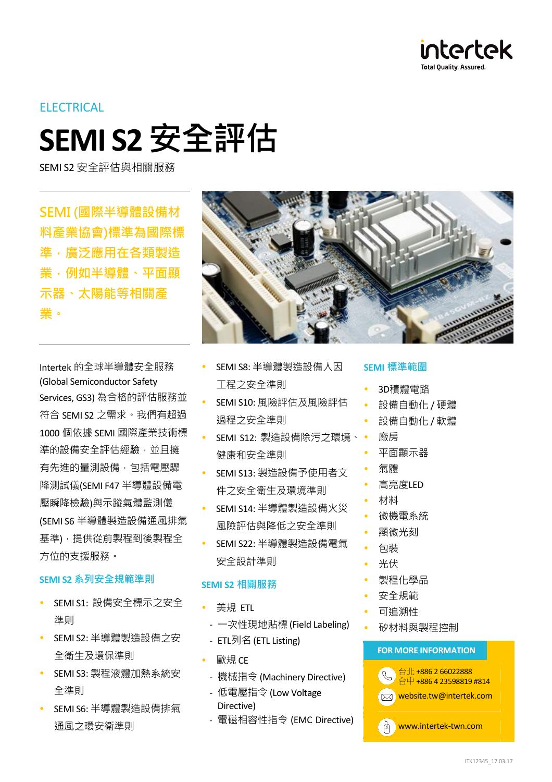

## **ELECTRICAL**

# **SEMI S2** 安全評估

SEMI S2 安全評估與相關服務

SEMI (國際半導體設備材 料產業協會)標準為國際標 準,廣泛應用在各類製造 業,例如半導體、平面顯 示器、太陽能等相關產 業。

Intertek 的全球半導體安全服務 (Global Semiconductor Safety Services, GS3) 為合格的評估服務並 符合 SEMI S2 之需求。我們有超過 1000 個依據 SEMI 國際產業技術標 準的設備安全評估經驗,並且擁 有先進的量測設備,包括電壓驟 降測試儀(SEMI F47 半導體設備電 壓瞬降檢驗)與示蹤氣體監測儀 (SEMI S6 半導體製造設備通風排氣 基準),提供從前製程到後製程全 方位的支援服務。

## **SEMI S2** 系列安全規範準則

- SEMI S1: 設備安全標示之安全 準則
- SEMI S2: 半導體製造設備之安 全衛生及環保準則
- SEMI S3: 製程液體加熱系統安 全準則
- SEMI S6: 半導體製造設備排氣 通風之環安衛準則



- SEMI S8: 半導體製造設備人因 工程之安全準則
- SEMI S10: 風險評估及風險評估 過程之安全準則
- SEMI S12: 製造設備除污之環境、 健康和安全準則
- SEMI S13: 製造設備予使用者文 件之安全衛生及環境準則
- SEMI S14: 半導體製造設備火災 風險評估與降低之安全準則
- SEMI S22: 半導體製造設備電氣 安全設計準則

## **SEMI S2** 相關服務

- 美規 ETL
- 一次性現地貼標(Field Labeling)
- ETL列名 (ETL Listing)
- 歐規 CE
- 機械指令 (Machinery Directive)
- 低電壓指令 (Low Voltage Directive)
- 電磁相容性指令 (EMC Directive)

#### **SEMI** 標準範圍

- 3D積體電路
- 設備自動化 / 硬體
- 設備自動化 / 軟體
- 廠房
- 平面顯示器
- 氣體
- 高亮度LED
- 材料
- 微機電系統
- 顯微光刻
- 包裝
- 光伏
- 製程化學品
- 安全規範
- 可追溯性
- 矽材料與製程控制

## **FOR MORE INFORMATION**



台北 +886 2 66022888 台中 +886 4 23598819 #814

website.tw@intertek.com  $\nabla$ 

www.intertek-twn.com